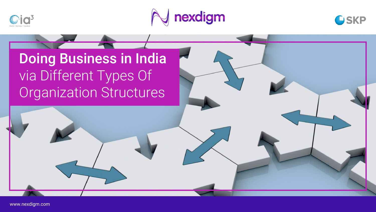





Doing Business in India via Different Types Of Organization Structures

www.nexdigm.com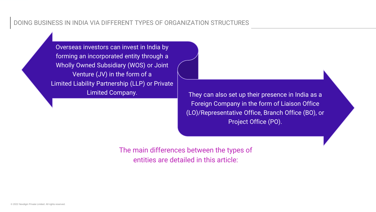## DOING BUSINESS IN INDIA VIA DIFFERENT TYPES OF ORGANIZATION STRUCTURES

Overseas investors can invest in India by forming an incorporated entity through a Wholly Owned Subsidiary (WOS) or Joint Venture (JV) in the form of a Limited Liability Partnership (LLP) or Private

Limited Company. They can also set up their presence in India as a Foreign Company in the form of Liaison Office (LO)/Representative Office, Branch Office (BO), or Project Office (PO).

> The main differences between the types of entities are detailed in this article: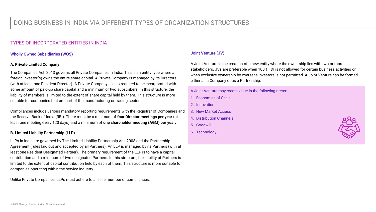## DOING BUSINESS IN INDIA VIA DIFFERENT TYPES OF ORGANIZATION STRUCTURES

#### TYPES OF INCORPORATED ENTITIES IN INDIA

#### Wholly Owned Subsidiaries (WOS)

#### **A. Private Limited Company**

The Companies Act, 2013 governs all Private Companies in India. This is an entity type where a foreign investor(s) owns the entire share capital. A Private Company is managed by its Directors (with at least one Resident Director). A Private Company is also required to be incorporated with some amount of paid-up share capital and a minimum of two subscribers. In this structure, the liability of members is limited to the extent of share capital held by them. This structure is more suitable for companies that are part of the manufacturing or trading sector.

Compliances include various mandatory reporting requirements with the Registrar of Companies and the Reserve Bank of India (RBI). There must be a minimum of **four Director meetings per year** (at least one meeting every 120 days) and a minimum of **one shareholder meeting (AGM) per year.** 

#### **B. Limited Liability Partnership (LLP)**

LLPs in India are governed by The Limited Liability Partnership Act, 2008 and the Partnership Agreement (rules laid out and accepted by all Partners). An LLP is managed by its Partners (with at least one Resident Designated Partner). The primary requirement of the LLP is to have a capital contribution and a minimum of two designated Partners. In this structure, the liability of Partners is limited to the extent of capital contribution held by each of them. This structure is more suitable for companies operating within the service industry.

Unlike Private Companies, LLPs must adhere to a lesser number of compliances.

#### Joint Venture (JV)

A Joint Venture is the creation of a new entity where the ownership lies with two or more stakeholders. JVs are preferable when 100% FDI is not allowed for certain business activities or when exclusive ownership by overseas investors is not permitted. A Joint Venture can be formed either as a Company or as a Partnership.

A Joint Venture may create value in the following areas:

- 1. Economies of Scale
- 2. Innovation
- 3. New Market Access
- 4. Distribution Channels
- 5. Goodwill
- 6. Technology

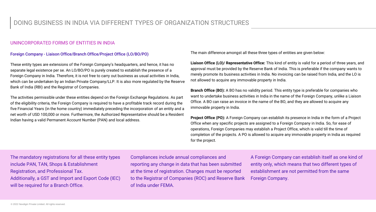## DOING BUSINESS IN INDIA VIA DIFFERENT TYPES OF ORGANIZATION STRUCTURES

#### UNINCORPORATED FORMS OF ENTITIES IN INDIA

#### Foreign Company - Liaison Office/Branch Office/Project Office (LO/BO/PO)

These entity types are extensions of the Foreign Company's headquarters, and hence, it has no separate legal existence per se. An LO/BO/PO is purely created to establish the presence of a Foreign Company in India. Therefore, it is not free to carry out business as usual activities in India, which can be undertaken by an Indian Private Company/LLP. It is also more regulated by the Reserve Bank of India (RBI) and the Registrar of Companies.

The activities permissible under these entities depend on the Foreign Exchange Regulations. As part of the eligibility criteria, the Foreign Company is required to have a profitable track record during the five Financial Years (in the home country) immediately preceding the incorporation of an entity and a net worth of USD 100,000 or more. Furthermore, the Authorized Representative should be a Resident Indian having a valid Permanent Account Number (PAN) and local address.

The main difference amongst all these three types of entities are given below:

**Liaison Office (LO)/ Representative Office:** This kind of entity is valid for a period of three years, and approval must be provided by the Reserve Bank of India. This is preferable if the company wants to merely promote its business activities in India. No invoicing can be raised from India, and the LO is not allowed to acquire any immovable property in India.

**Branch Office (BO):** A BO has no validity period. This entity type is preferable for companies who want to undertake business activities in India in the name of the Foreign Company, unlike a Liaison Office. A BO can raise an invoice in the name of the BO, and they are allowed to acquire any immovable property in India.

**Project Office (PO):** A Foreign Company can establish its presence in India in the form of a Project Office when any specific projects are assigned to a Foreign Company in India. So, for ease of operations, Foreign Companies may establish a Project Office, which is valid till the time of completion of the projects. A PO is allowed to acquire any immovable property in India as required for the project.

The mandatory registrations for all these entity types include PAN, TAN, Shops & Establishment Registration, and Professional Tax. Additionally, a GST and Import and Export Code (IEC) will be required for a Branch Office.

Compliances include annual compliances and reporting any change in data that has been submitted at the time of registration. Changes must be reported to the Registrar of Companies (ROC) and Reserve Bank of India under FEMA.

A Foreign Company can establish itself as one kind of entity only, which means that two different types of establishment are not permitted from the same Foreign Company.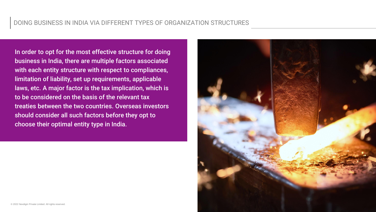In order to opt for the most effective structure for doing business in India, there are multiple factors associated with each entity structure with respect to compliances, limitation of liability, set up requirements, applicable laws, etc. A major factor is the tax implication, which is to be considered on the basis of the relevant tax treaties between the two countries. Overseas investors should consider all such factors before they opt to choose their optimal entity type in India.

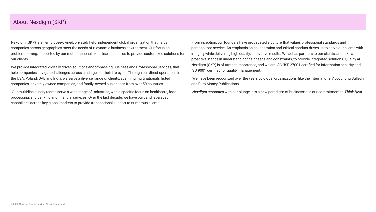### About Nexdigm (SKP)

Nexdigm (SKP) is an employee-owned, privately held, independent global organization that helps companies across geographies meet the needs of a dynamic business environment. Our focus on problem-solving, supported by our multifunctional expertise enables us to provide customized solutions for our clients.

We provide integrated, digitally driven solutions encompassing Business and Professional Services, that help companies navigate challenges across all stages of their life-cycle. Through our direct operations in the USA, Poland, UAE and India, we serve a diverse range of clients, spanning multinationals, listed companies, privately-owned companies, and family-owned businesses from over 50 countries.

Our multidisciplinary teams serve a wide range of industries, with a specific focus on healthcare, food processing, and banking and financial services. Over the last decade, we have built and leveraged capabilities across key global markets to provide transnational support to numerous clients.

From inception, our founders have propagated a culture that values professional standards and personalized service. An emphasis on collaboration and ethical conduct drives us to serve our clients with integrity while delivering high quality, innovative results. We act as partners to our clients, and take a proactive stance in understanding their needs and constraints, to provide integrated solutions. Quality at Nexdigm (SKP) is of utmost importance, and we are ISO/ISE 27001 certified for information security and ISO 9001 certified for quality management.

We have been recognized over the years by global organizations, like the International Accounting Bulletin and Euro Money Publications.

*Nexdigm* resonates with our plunge into a new paradigm of business; it is our commitment to *Think Next*.